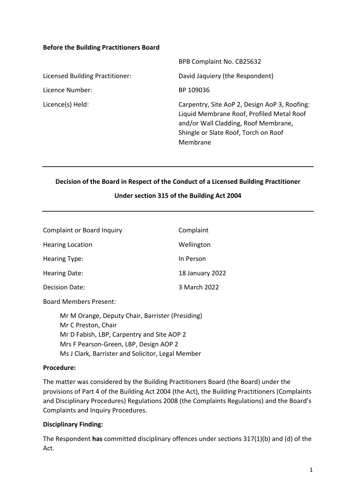#### **Before the Building Practitioners Board**

|                                 | BPB Complaint No. CB25632                                                                                                                                                              |
|---------------------------------|----------------------------------------------------------------------------------------------------------------------------------------------------------------------------------------|
| Licensed Building Practitioner: | David Jaquiery (the Respondent)                                                                                                                                                        |
| Licence Number:                 | BP 109036                                                                                                                                                                              |
| Licence(s) Held:                | Carpentry, Site AoP 2, Design AoP 3, Roofing:<br>Liquid Membrane Roof, Profiled Metal Roof<br>and/or Wall Cladding, Roof Membrane,<br>Shingle or Slate Roof, Torch on Roof<br>Membrane |

## **Decision of the Board in Respect of the Conduct of a Licensed Building Practitioner**

# **Under section 315 of the Building Act 2004**

| <b>Complaint or Board Inquiry</b> | Complaint       |
|-----------------------------------|-----------------|
| <b>Hearing Location</b>           | Wellington      |
| <b>Hearing Type:</b>              | In Person       |
| Hearing Date:                     | 18 January 2022 |
| Decision Date:                    | 3 March 2022    |
|                                   |                 |

Board Members Present:

Mr M Orange, Deputy Chair, Barrister (Presiding) Mr C Preston, Chair Mr D Fabish, LBP, Carpentry and Site AOP 2 Mrs F Pearson-Green, LBP, Design AOP 2 Ms J Clark, Barrister and Solicitor, Legal Member

#### **Procedure:**

The matter was considered by the Building Practitioners Board (the Board) under the provisions of Part 4 of the Building Act 2004 (the Act), the Building Practitioners (Complaints and Disciplinary Procedures) Regulations 2008 (the Complaints Regulations) and the Board's Complaints and Inquiry Procedures.

#### **Disciplinary Finding:**

The Respondent **has** committed disciplinary offences under sections 317(1)(b) and (d) of the Act.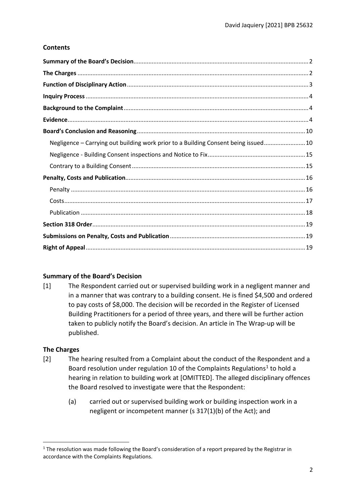# **Contents**

| Negligence - Carrying out building work prior to a Building Consent being issued 10 |
|-------------------------------------------------------------------------------------|
|                                                                                     |
|                                                                                     |
|                                                                                     |
|                                                                                     |
|                                                                                     |
|                                                                                     |
|                                                                                     |
|                                                                                     |
|                                                                                     |

# <span id="page-1-0"></span>**Summary of the Board's Decision**

[1] The Respondent carried out or supervised building work in a negligent manner and in a manner that was contrary to a building consent. He is fined \$4,500 and ordered to pay costs of \$8,000. The decision will be recorded in the Register of Licensed Building Practitioners for a period of three years, and there will be further action taken to publicly notify the Board's decision. An article in The Wrap-up will be published.

# <span id="page-1-1"></span>**The Charges**

- [2] The hearing resulted from a Complaint about the conduct of the Respondent and a Board resolution under regulation [1](#page-1-2)0 of the Complaints Regulations<sup>1</sup> to hold a hearing in relation to building work at [OMITTED]. The alleged disciplinary offences the Board resolved to investigate were that the Respondent:
	- (a) carried out or supervised building work or building inspection work in a negligent or incompetent manner (s 317(1)(b) of the Act); and

<span id="page-1-2"></span><sup>&</sup>lt;sup>1</sup> The resolution was made following the Board's consideration of a report prepared by the Registrar in accordance with the Complaints Regulations.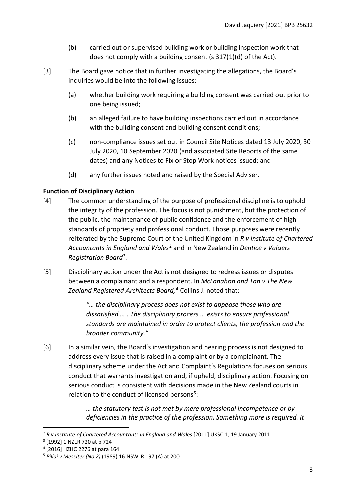- (b) carried out or supervised building work or building inspection work that does not comply with a building consent (s 317(1)(d) of the Act).
- [3] The Board gave notice that in further investigating the allegations, the Board's inquiries would be into the following issues:
	- (a) whether building work requiring a building consent was carried out prior to one being issued;
	- (b) an alleged failure to have building inspections carried out in accordance with the building consent and building consent conditions;
	- (c) non-compliance issues set out in Council Site Notices dated 13 July 2020, 30 July 2020, 10 September 2020 (and associated Site Reports of the same dates) and any Notices to Fix or Stop Work notices issued; and
	- (d) any further issues noted and raised by the Special Adviser.

# <span id="page-2-0"></span>**Function of Disciplinary Action**

- [4] The common understanding of the purpose of professional discipline is to uphold the integrity of the profession. The focus is not punishment, but the protection of the public, the maintenance of public confidence and the enforcement of high standards of propriety and professional conduct. Those purposes were recently reiterated by the Supreme Court of the United Kingdom in *R v Institute of Chartered Accountants in England and Wales*[2](#page-2-1) and in New Zealand in *Dentice v Valuers Registration Board*[3](#page-2-2)*.*
- [5] Disciplinary action under the Act is not designed to redress issues or disputes between a complainant and a respondent. In *McLanahan and Tan v The New Zealand Registered Architects Board, [4](#page-2-3)* Collins J. noted that:

*"… the disciplinary process does not exist to appease those who are dissatisfied … . The disciplinary process … exists to ensure professional standards are maintained in order to protect clients, the profession and the broader community."*

[6] In a similar vein, the Board's investigation and hearing process is not designed to address every issue that is raised in a complaint or by a complainant. The disciplinary scheme under the Act and Complaint's Regulations focuses on serious conduct that warrants investigation and, if upheld, disciplinary action. Focusing on serious conduct is consistent with decisions made in the New Zealand courts in relation to the conduct of licensed persons<sup>5</sup>:

> *… the statutory test is not met by mere professional incompetence or by deficiencies in the practice of the profession. Something more is required. It*

<span id="page-2-1"></span><sup>&</sup>lt;sup>2</sup> R v Institute of Chartered Accountants in England and Wales [2011] UKSC 1, 19 January 2011.

<span id="page-2-2"></span><sup>3</sup> [1992] 1 NZLR 720 at p 724

<span id="page-2-3"></span><sup>4</sup> [2016] HZHC 2276 at para 164

<span id="page-2-4"></span><sup>5</sup> *Pillai v Messiter (No 2)* (1989) 16 NSWLR 197 (A) at 200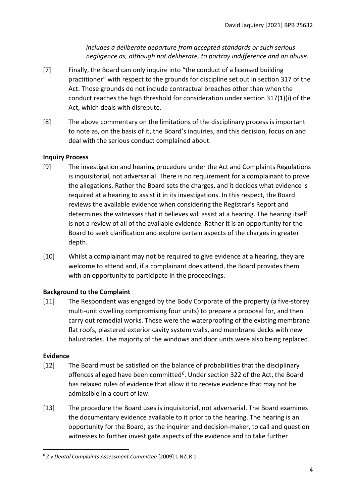*includes a deliberate departure from accepted standards or such serious negligence as, although not deliberate, to portray indifference and an abuse.*

- [7] Finally, the Board can only inquire into "the conduct of a licensed building practitioner" with respect to the grounds for discipline set out in section 317 of the Act. Those grounds do not include contractual breaches other than when the conduct reaches the high threshold for consideration under section 317(1)(i) of the Act, which deals with disrepute.
- [8] The above commentary on the limitations of the disciplinary process is important to note as, on the basis of it, the Board's inquiries, and this decision, focus on and deal with the serious conduct complained about.

# <span id="page-3-0"></span>**Inquiry Process**

- [9] The investigation and hearing procedure under the Act and Complaints Regulations is inquisitorial, not adversarial. There is no requirement for a complainant to prove the allegations. Rather the Board sets the charges, and it decides what evidence is required at a hearing to assist it in its investigations. In this respect, the Board reviews the available evidence when considering the Registrar's Report and determines the witnesses that it believes will assist at a hearing. The hearing itself is not a review of all of the available evidence. Rather it is an opportunity for the Board to seek clarification and explore certain aspects of the charges in greater depth.
- [10] Whilst a complainant may not be required to give evidence at a hearing, they are welcome to attend and, if a complainant does attend, the Board provides them with an opportunity to participate in the proceedings.

# <span id="page-3-1"></span>**Background to the Complaint**

[11] The Respondent was engaged by the Body Corporate of the property (a five-storey multi-unit dwelling compromising four units) to prepare a proposal for, and then carry out remedial works. These were the waterproofing of the existing membrane flat roofs, plastered exterior cavity system walls, and membrane decks with new balustrades. The majority of the windows and door units were also being replaced.

#### <span id="page-3-2"></span>**Evidence**

- [12] The Board must be satisfied on the balance of probabilities that the disciplinary offences alleged have been committed*[6](#page-3-3)*. Under section 322 of the Act, the Board has relaxed rules of evidence that allow it to receive evidence that may not be admissible in a court of law.
- [13] The procedure the Board uses is inquisitorial, not adversarial. The Board examines the documentary evidence available to it prior to the hearing. The hearing is an opportunity for the Board, as the inquirer and decision-maker, to call and question witnesses to further investigate aspects of the evidence and to take further

<span id="page-3-3"></span><sup>6</sup> *Z v Dental Complaints Assessment Committee* [2009] 1 NZLR 1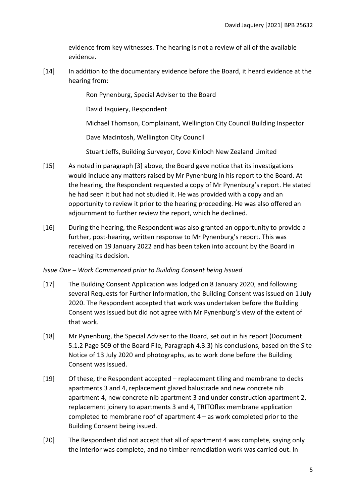evidence from key witnesses. The hearing is not a review of all of the available evidence.

[14] In addition to the documentary evidence before the Board, it heard evidence at the hearing from:

Ron Pynenburg, Special Adviser to the Board

David Jaquiery, Respondent

Michael Thomson, Complainant, Wellington City Council Building Inspector

Dave MacIntosh, Wellington City Council

Stuart Jeffs, Building Surveyor, Cove Kinloch New Zealand Limited

- [15] As noted in paragraph [3] above, the Board gave notice that its investigations would include any matters raised by Mr Pynenburg in his report to the Board. At the hearing, the Respondent requested a copy of Mr Pynenburg's report. He stated he had seen it but had not studied it. He was provided with a copy and an opportunity to review it prior to the hearing proceeding. He was also offered an adjournment to further review the report, which he declined.
- [16] During the hearing, the Respondent was also granted an opportunity to provide a further, post-hearing, written response to Mr Pynenburg's report. This was received on 19 January 2022 and has been taken into account by the Board in reaching its decision.

# *Issue One – Work Commenced prior to Building Consent being Issued*

- [17] The Building Consent Application was lodged on 8 January 2020, and following several Requests for Further Information, the Building Consent was issued on 1 July 2020. The Respondent accepted that work was undertaken before the Building Consent was issued but did not agree with Mr Pynenburg's view of the extent of that work.
- [18] Mr Pynenburg, the Special Adviser to the Board, set out in his report (Document 5.1.2 Page 509 of the Board File, Paragraph 4.3.3) his conclusions, based on the Site Notice of 13 July 2020 and photographs, as to work done before the Building Consent was issued.
- [19] Of these, the Respondent accepted replacement tiling and membrane to decks apartments 3 and 4, replacement glazed balustrade and new concrete nib apartment 4, new concrete nib apartment 3 and under construction apartment 2, replacement joinery to apartments 3 and 4, TRITOflex membrane application completed to membrane roof of apartment 4 – as work completed prior to the Building Consent being issued.
- [20] The Respondent did not accept that all of apartment 4 was complete, saying only the interior was complete, and no timber remediation work was carried out. In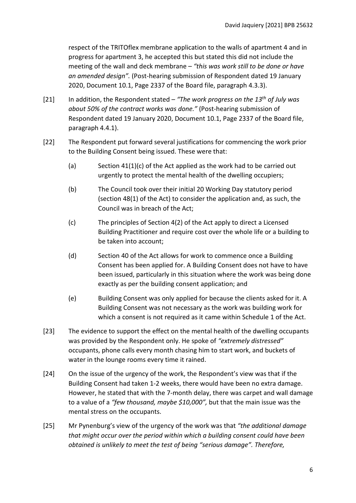respect of the TRITOflex membrane application to the walls of apartment 4 and in progress for apartment 3, he accepted this but stated this did not include the meeting of the wall and deck membrane – *"this was work still to be done or have an amended design".* (Post-hearing submission of Respondent dated 19 January 2020, Document 10.1, Page 2337 of the Board file, paragraph 4.3.3).

- [21] In addition, the Respondent stated  *"The work progress on the 13th of July was about 50% of the contract works was done."* (Post-hearing submission of Respondent dated 19 January 2020, Document 10.1, Page 2337 of the Board file, paragraph 4.4.1).
- [22] The Respondent put forward several justifications for commencing the work prior to the Building Consent being issued. These were that:
	- (a) Section  $41(1)(c)$  of the Act applied as the work had to be carried out urgently to protect the mental health of the dwelling occupiers;
	- (b) The Council took over their initial 20 Working Day statutory period (section 48(1) of the Act) to consider the application and, as such, the Council was in breach of the Act;
	- (c) The principles of Section 4(2) of the Act apply to direct a Licensed Building Practitioner and require cost over the whole life or a building to be taken into account;
	- (d) Section 40 of the Act allows for work to commence once a Building Consent has been applied for. A Building Consent does not have to have been issued, particularly in this situation where the work was being done exactly as per the building consent application; and
	- (e) Building Consent was only applied for because the clients asked for it. A Building Consent was not necessary as the work was building work for which a consent is not required as it came within Schedule 1 of the Act.
- [23] The evidence to support the effect on the mental health of the dwelling occupants was provided by the Respondent only. He spoke of *"extremely distressed"* occupants, phone calls every month chasing him to start work, and buckets of water in the lounge rooms every time it rained.
- [24] On the issue of the urgency of the work, the Respondent's view was that if the Building Consent had taken 1-2 weeks, there would have been no extra damage. However, he stated that with the 7-month delay, there was carpet and wall damage to a value of a *"few thousand, maybe \$10,000",* but that the main issue was the mental stress on the occupants.
- [25] Mr Pynenburg's view of the urgency of the work was that *"the additional damage that might occur over the period within which a building consent could have been obtained is unlikely to meet the test of being "serious damage". Therefore,*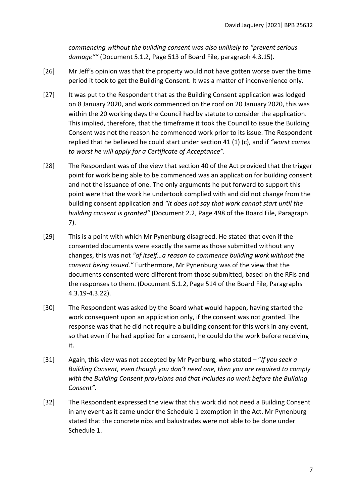*commencing without the building consent was also unlikely to "prevent serious damage""* (Document 5.1.2, Page 513 of Board File, paragraph 4.3.15).

- [26] Mr Jeff's opinion was that the property would not have gotten worse over the time period it took to get the Building Consent. It was a matter of inconvenience only.
- [27] It was put to the Respondent that as the Building Consent application was lodged on 8 January 2020, and work commenced on the roof on 20 January 2020, this was within the 20 working days the Council had by statute to consider the application. This implied, therefore, that the timeframe it took the Council to issue the Building Consent was not the reason he commenced work prior to its issue. The Respondent replied that he believed he could start under section 41 (1) (c), and if *"worst comes to worst he will apply for a Certificate of Acceptance".*
- [28] The Respondent was of the view that section 40 of the Act provided that the trigger point for work being able to be commenced was an application for building consent and not the issuance of one. The only arguments he put forward to support this point were that the work he undertook complied with and did not change from the building consent application and *"It does not say that work cannot start until the building consent is granted"* (Document 2.2, Page 498 of the Board File, Paragraph 7).
- [29] This is a point with which Mr Pynenburg disagreed. He stated that even if the consented documents were exactly the same as those submitted without any changes, this was not *"of itself…a reason to commence building work without the consent being issued."* Furthermore, Mr Pynenburg was of the view that the documents consented were different from those submitted, based on the RFIs and the responses to them. (Document 5.1.2, Page 514 of the Board File, Paragraphs 4.3.19-4.3.22).
- [30] The Respondent was asked by the Board what would happen, having started the work consequent upon an application only, if the consent was not granted. The response was that he did not require a building consent for this work in any event, so that even if he had applied for a consent, he could do the work before receiving it.
- [31] Again, this view was not accepted by Mr Pyenburg, who stated "*If you seek a Building Consent, even though you don't need one, then you are required to comply with the Building Consent provisions and that includes no work before the Building Consent".*
- [32] The Respondent expressed the view that this work did not need a Building Consent in any event as it came under the Schedule 1 exemption in the Act. Mr Pynenburg stated that the concrete nibs and balustrades were not able to be done under Schedule 1.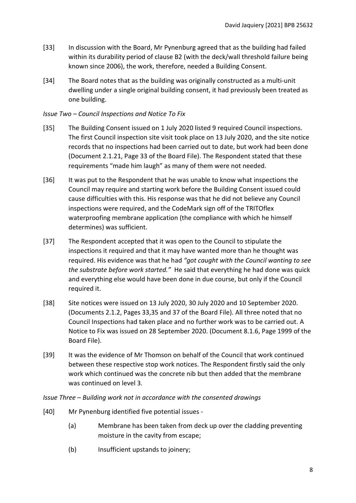- [33] In discussion with the Board, Mr Pynenburg agreed that as the building had failed within its durability period of clause B2 (with the deck/wall threshold failure being known since 2006), the work, therefore, needed a Building Consent.
- [34] The Board notes that as the building was originally constructed as a multi-unit dwelling under a single original building consent, it had previously been treated as one building.

## *Issue Two – Council Inspections and Notice To Fix*

- [35] The Building Consent issued on 1 July 2020 listed 9 required Council inspections. The first Council inspection site visit took place on 13 July 2020, and the site notice records that no inspections had been carried out to date, but work had been done (Document 2.1.21, Page 33 of the Board File). The Respondent stated that these requirements "made him laugh" as many of them were not needed.
- [36] It was put to the Respondent that he was unable to know what inspections the Council may require and starting work before the Building Consent issued could cause difficulties with this. His response was that he did not believe any Council inspections were required, and the CodeMark sign off of the TRITOflex waterproofing membrane application (the compliance with which he himself determines) was sufficient.
- [37] The Respondent accepted that it was open to the Council to stipulate the inspections it required and that it may have wanted more than he thought was required. His evidence was that he had *"got caught with the Council wanting to see the substrate before work started."* He said that everything he had done was quick and everything else would have been done in due course, but only if the Council required it.
- [38] Site notices were issued on 13 July 2020, 30 July 2020 and 10 September 2020. (Documents 2.1.2, Pages 33,35 and 37 of the Board File). All three noted that no Council Inspections had taken place and no further work was to be carried out. A Notice to Fix was issued on 28 September 2020. (Document 8.1.6, Page 1999 of the Board File).
- [39] It was the evidence of Mr Thomson on behalf of the Council that work continued between these respective stop work notices. The Respondent firstly said the only work which continued was the concrete nib but then added that the membrane was continued on level 3.

#### *Issue Three – Building work not in accordance with the consented drawings*

- [40] Mr Pynenburg identified five potential issues
	- (a) Membrane has been taken from deck up over the cladding preventing moisture in the cavity from escape;
	- (b) Insufficient upstands to joinery;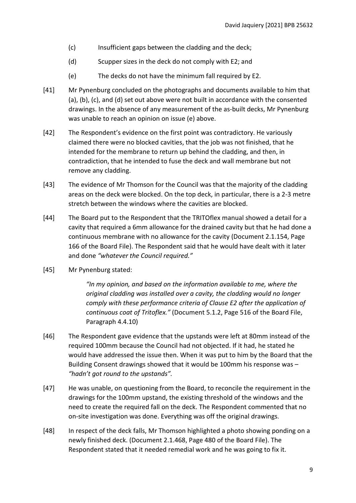- (c) Insufficient gaps between the cladding and the deck;
- (d) Scupper sizes in the deck do not comply with E2; and
- (e) The decks do not have the minimum fall required by E2.
- [41] Mr Pynenburg concluded on the photographs and documents available to him that (a), (b), (c), and (d) set out above were not built in accordance with the consented drawings. In the absence of any measurement of the as-built decks, Mr Pynenburg was unable to reach an opinion on issue (e) above.
- [42] The Respondent's evidence on the first point was contradictory. He variously claimed there were no blocked cavities, that the job was not finished, that he intended for the membrane to return up behind the cladding, and then, in contradiction, that he intended to fuse the deck and wall membrane but not remove any cladding.
- [43] The evidence of Mr Thomson for the Council was that the majority of the cladding areas on the deck were blocked. On the top deck, in particular, there is a 2-3 metre stretch between the windows where the cavities are blocked.
- [44] The Board put to the Respondent that the TRITOflex manual showed a detail for a cavity that required a 6mm allowance for the drained cavity but that he had done a continuous membrane with no allowance for the cavity (Document 2.1.154, Page 166 of the Board File). The Respondent said that he would have dealt with it later and done *"whatever the Council required."*
- [45] Mr Pynenburg stated:

*"In my opinion, and based on the information available to me, where the original cladding was installed over a cavity, the cladding would no longer comply with these performance criteria of Clause E2 after the application of continuous coat of Tritoflex."* (Document 5.1.2, Page 516 of the Board File, Paragraph 4.4.10)

- [46] The Respondent gave evidence that the upstands were left at 80mm instead of the required 100mm because the Council had not objected. If it had, he stated he would have addressed the issue then. When it was put to him by the Board that the Building Consent drawings showed that it would be 100mm his response was – *"hadn't got round to the upstands".*
- [47] He was unable, on questioning from the Board, to reconcile the requirement in the drawings for the 100mm upstand, the existing threshold of the windows and the need to create the required fall on the deck. The Respondent commented that no on-site investigation was done. Everything was off the original drawings.
- [48] In respect of the deck falls, Mr Thomson highlighted a photo showing ponding on a newly finished deck. (Document 2.1.468, Page 480 of the Board File). The Respondent stated that it needed remedial work and he was going to fix it.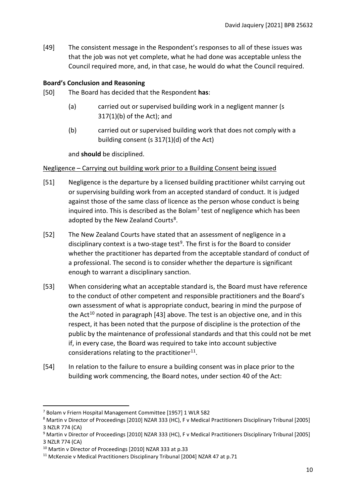[49] The consistent message in the Respondent's responses to all of these issues was that the job was not yet complete, what he had done was acceptable unless the Council required more, and, in that case, he would do what the Council required.

## <span id="page-9-0"></span>**Board's Conclusion and Reasoning**

- [50] The Board has decided that the Respondent **has**:
	- (a) carried out or supervised building work in a negligent manner (s 317(1)(b) of the Act); and
	- (b) carried out or supervised building work that does not comply with a building consent (s 317(1)(d) of the Act)

and **should** be disciplined.

#### <span id="page-9-1"></span>Negligence – Carrying out building work prior to a Building Consent being issued

- [51] Negligence is the departure by a licensed building practitioner whilst carrying out or supervising building work from an accepted standard of conduct. It is judged against those of the same class of licence as the person whose conduct is being inquired into. This is described as the Bolam<sup>[7](#page-9-2)</sup> test of negligence which has been adopted by the New Zealand Courts<sup>8</sup>.
- [52] The New Zealand Courts have stated that an assessment of negligence in a disciplinary context is a two-stage test<sup>[9](#page-9-4)</sup>. The first is for the Board to consider whether the practitioner has departed from the acceptable standard of conduct of a professional. The second is to consider whether the departure is significant enough to warrant a disciplinary sanction.
- [53] When considering what an acceptable standard is, the Board must have reference to the conduct of other competent and responsible practitioners and the Board's own assessment of what is appropriate conduct, bearing in mind the purpose of the Act<sup>[10](#page-9-5)</sup> noted in paragraph [43] above. The test is an objective one, and in this respect, it has been noted that the purpose of discipline is the protection of the public by the maintenance of professional standards and that this could not be met if, in every case, the Board was required to take into account subjective considerations relating to the practitioner $11$ .
- [54] In relation to the failure to ensure a building consent was in place prior to the building work commencing, the Board notes, under section 40 of the Act:

<span id="page-9-2"></span><sup>7</sup> Bolam v Friern Hospital Management Committee [1957] 1 WLR 582

<span id="page-9-3"></span><sup>8</sup> Martin v Director of Proceedings [2010] NZAR 333 (HC), F v Medical Practitioners Disciplinary Tribunal [2005] 3 NZLR 774 (CA)

<span id="page-9-4"></span><sup>9</sup> Martin v Director of Proceedings [2010] NZAR 333 (HC), F v Medical Practitioners Disciplinary Tribunal [2005] 3 NZLR 774 (CA)

<span id="page-9-6"></span><span id="page-9-5"></span><sup>&</sup>lt;sup>10</sup> Martin v Director of Proceedings [2010] NZAR 333 at p.33<br><sup>11</sup> McKenzie v Medical Practitioners Disciplinary Tribunal [2004] NZAR 47 at p.71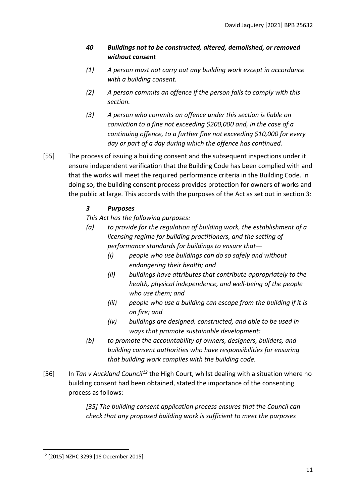# *40 Buildings not to be constructed, altered, demolished, or removed without consent*

- *(1) A person must not carry out any building work except in accordance with a building consent.*
- *(2) A person commits an offence if the person fails to comply with this section.*
- *(3) A person who commits an offence under this section is liable on conviction to a fine not exceeding \$200,000 and, in the case of a continuing offence, to a further fine not exceeding \$10,000 for every day or part of a day during which the offence has continued.*
- [55] The process of issuing a building consent and the subsequent inspections under it ensure independent verification that the Building Code has been complied with and that the works will meet the required performance criteria in the Building Code. In doing so, the building consent process provides protection for owners of works and the public at large. This accords with the purposes of the Act as set out in section 3:

# *3 Purposes*

*This Act has the following purposes:*

- *(a) to provide for the regulation of building work, the establishment of a licensing regime for building practitioners, and the setting of performance standards for buildings to ensure that—* 
	- *(i) people who use buildings can do so safely and without endangering their health; and*
	- *(ii) buildings have attributes that contribute appropriately to the health, physical independence, and well-being of the people who use them; and*
	- *(iii) people who use a building can escape from the building if it is on fire; and*
	- *(iv) buildings are designed, constructed, and able to be used in ways that promote sustainable development:*
- *(b) to promote the accountability of owners, designers, builders, and building consent authorities who have responsibilities for ensuring that building work complies with the building code.*
- [56] In *Tan v Auckland Council[12](#page-10-0)* the High Court, whilst dealing with a situation where no building consent had been obtained, stated the importance of the consenting process as follows:

*[35] The building consent application process ensures that the Council can check that any proposed building work is sufficient to meet the purposes* 

<span id="page-10-0"></span><sup>12</sup> [2015] NZHC 3299 [18 December 2015]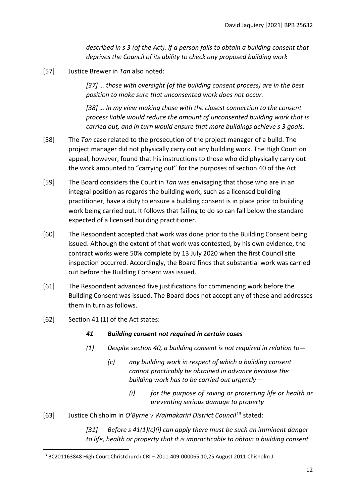*described in s 3 (of the Act). If a person fails to obtain a building consent that deprives the Council of its ability to check any proposed building work*

[57] Justice Brewer in *Tan* also noted:

*[37] … those with oversight (of the building consent process) are in the best position to make sure that unconsented work does not occur.* 

*[38] … In my view making those with the closest connection to the consent process liable would reduce the amount of unconsented building work that is carried out, and in turn would ensure that more buildings achieve s 3 goals.*

- [58] The *Tan* case related to the prosecution of the project manager of a build. The project manager did not physically carry out any building work. The High Court on appeal, however, found that his instructions to those who did physically carry out the work amounted to "carrying out" for the purposes of section 40 of the Act.
- [59] The Board considers the Court in *Tan* was envisaging that those who are in an integral position as regards the building work, such as a licensed building practitioner, have a duty to ensure a building consent is in place prior to building work being carried out. It follows that failing to do so can fall below the standard expected of a licensed building practitioner.
- [60] The Respondent accepted that work was done prior to the Building Consent being issued. Although the extent of that work was contested, by his own evidence, the contract works were 50% complete by 13 July 2020 when the first Council site inspection occurred. Accordingly, the Board finds that substantial work was carried out before the Building Consent was issued.
- [61] The Respondent advanced five justifications for commencing work before the Building Consent was issued. The Board does not accept any of these and addresses them in turn as follows.
- [62] Section 41 (1) of the Act states:
	- *41 Building consent not required in certain cases*
	- *(1) Despite [section](https://www.legislation.govt.nz/act/public/2004/0072/latest/link.aspx?id=DLM306376#DLM306376) 40, a building consent is not required in relation to—*
		- *(c) any building work in respect of which a building consent cannot practicably be obtained in advance because the building work has to be carried out urgently—* 
			- *(i) for the purpose of saving or protecting life or health or preventing serious damage to property*
- [63] Justice Chisholm in *O'Byrne v Waimakariri District Council*[13](#page-11-0) stated:

*[31] Before s 41(1)(c)(i) can apply there must be such an imminent danger to life, health or property that it is impracticable to obtain a building consent* 

<span id="page-11-0"></span><sup>13</sup> BC201163848 High Court Christchurch CRI – 2011-409-000065 10,25 August 2011 Chisholm J.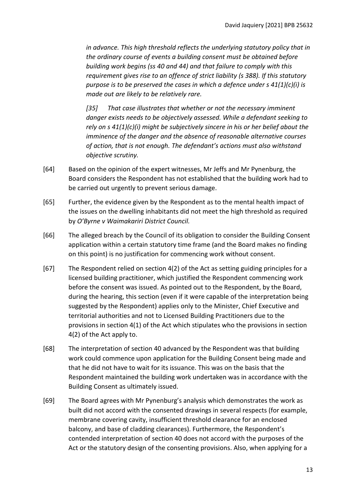*in advance. This high threshold reflects the underlying statutory policy that in the ordinary course of events a building consent must be obtained before building work begins (ss 40 and 44) and that failure to comply with this requirement gives rise to an offence of strict liability (s 388). If this statutory purpose is to be preserved the cases in which a defence under s 41(1)(c)(i) is made out are likely to be relatively rare.* 

*[35] That case illustrates that whether or not the necessary imminent danger exists needs to be objectively assessed. While a defendant seeking to rely on s 41(1)(c)(i) might be subjectively sincere in his or her belief about the imminence of the danger and the absence of reasonable alternative courses of action, that is not enough. The defendant's actions must also withstand objective scrutiny.* 

- [64] Based on the opinion of the expert witnesses, Mr Jeffs and Mr Pynenburg, the Board considers the Respondent has not established that the building work had to be carried out urgently to prevent serious damage.
- [65] Further, the evidence given by the Respondent as to the mental health impact of the issues on the dwelling inhabitants did not meet the high threshold as required by *O'Byrne v Waimakariri District Council.*
- [66] The alleged breach by the Council of its obligation to consider the Building Consent application within a certain statutory time frame (and the Board makes no finding on this point) is no justification for commencing work without consent.
- [67] The Respondent relied on section 4(2) of the Act as setting guiding principles for a licensed building practitioner, which justified the Respondent commencing work before the consent was issued. As pointed out to the Respondent, by the Board, during the hearing, this section (even if it were capable of the interpretation being suggested by the Respondent) applies only to the Minister, Chief Executive and territorial authorities and not to Licensed Building Practitioners due to the provisions in section 4(1) of the Act which stipulates who the provisions in section 4(2) of the Act apply to.
- [68] The interpretation of section 40 advanced by the Respondent was that building work could commence upon application for the Building Consent being made and that he did not have to wait for its issuance. This was on the basis that the Respondent maintained the building work undertaken was in accordance with the Building Consent as ultimately issued.
- [69] The Board agrees with Mr Pynenburg's analysis which demonstrates the work as built did not accord with the consented drawings in several respects (for example, membrane covering cavity, insufficient threshold clearance for an enclosed balcony, and base of cladding clearances). Furthermore, the Respondent's contended interpretation of section 40 does not accord with the purposes of the Act or the statutory design of the consenting provisions. Also, when applying for a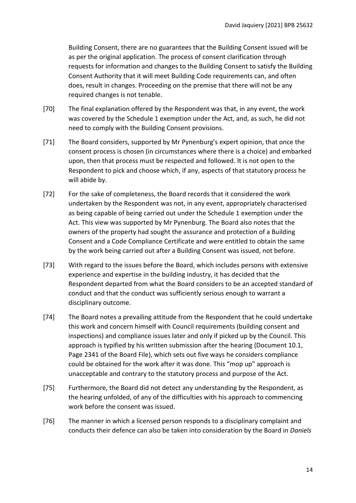Building Consent, there are no guarantees that the Building Consent issued will be as per the original application. The process of consent clarification through requests for information and changes to the Building Consent to satisfy the Building Consent Authority that it will meet Building Code requirements can, and often does, result in changes. Proceeding on the premise that there will not be any required changes is not tenable.

- [70] The final explanation offered by the Respondent was that, in any event, the work was covered by the Schedule 1 exemption under the Act, and, as such, he did not need to comply with the Building Consent provisions.
- [71] The Board considers, supported by Mr Pynenburg's expert opinion, that once the consent process is chosen (in circumstances where there is a choice) and embarked upon, then that process must be respected and followed. It is not open to the Respondent to pick and choose which, if any, aspects of that statutory process he will abide by.
- [72] For the sake of completeness, the Board records that it considered the work undertaken by the Respondent was not, in any event, appropriately characterised as being capable of being carried out under the Schedule 1 exemption under the Act. This view was supported by Mr Pynenburg. The Board also notes that the owners of the property had sought the assurance and protection of a Building Consent and a Code Compliance Certificate and were entitled to obtain the same by the work being carried out after a Building Consent was issued, not before.
- [73] With regard to the issues before the Board, which includes persons with extensive experience and expertise in the building industry, it has decided that the Respondent departed from what the Board considers to be an accepted standard of conduct and that the conduct was sufficiently serious enough to warrant a disciplinary outcome.
- [74] The Board notes a prevailing attitude from the Respondent that he could undertake this work and concern himself with Council requirements (building consent and inspections) and compliance issues later and only if picked up by the Council. This approach is typified by his written submission after the hearing (Document 10.1, Page 2341 of the Board File), which sets out five ways he considers compliance could be obtained for the work after it was done. This "mop up" approach is unacceptable and contrary to the statutory process and purpose of the Act.
- [75] Furthermore, the Board did not detect any understanding by the Respondent, as the hearing unfolded, of any of the difficulties with his approach to commencing work before the consent was issued.
- [76] The manner in which a licensed person responds to a disciplinary complaint and conducts their defence can also be taken into consideration by the Board in *Daniels*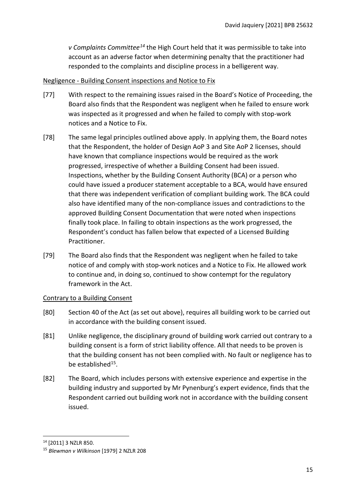*v Complaints Committee[14](#page-14-2)* the High Court held that it was permissible to take into account as an adverse factor when determining penalty that the practitioner had responded to the complaints and discipline process in a belligerent way.

# <span id="page-14-0"></span>Negligence - Building Consent inspections and Notice to Fix

- [77] With respect to the remaining issues raised in the Board's Notice of Proceeding, the Board also finds that the Respondent was negligent when he failed to ensure work was inspected as it progressed and when he failed to comply with stop-work notices and a Notice to Fix.
- [78] The same legal principles outlined above apply. In applying them, the Board notes that the Respondent, the holder of Design AoP 3 and Site AoP 2 licenses, should have known that compliance inspections would be required as the work progressed, irrespective of whether a Building Consent had been issued. Inspections, whether by the Building Consent Authority (BCA) or a person who could have issued a producer statement acceptable to a BCA, would have ensured that there was independent verification of compliant building work. The BCA could also have identified many of the non-compliance issues and contradictions to the approved Building Consent Documentation that were noted when inspections finally took place. In failing to obtain inspections as the work progressed, the Respondent's conduct has fallen below that expected of a Licensed Building Practitioner.
- [79] The Board also finds that the Respondent was negligent when he failed to take notice of and comply with stop-work notices and a Notice to Fix. He allowed work to continue and, in doing so, continued to show contempt for the regulatory framework in the Act.

# <span id="page-14-1"></span>Contrary to a Building Consent

- [80] Section 40 of the Act (as set out above), requires all building work to be carried out in accordance with the building consent issued.
- [81] Unlike negligence, the disciplinary ground of building work carried out contrary to a building consent is a form of strict liability offence. All that needs to be proven is that the building consent has not been complied with. No fault or negligence has to be established[15.](#page-14-3)
- [82] The Board, which includes persons with extensive experience and expertise in the building industry and supported by Mr Pynenburg's expert evidence, finds that the Respondent carried out building work not in accordance with the building consent issued.

<span id="page-14-2"></span><sup>14</sup> [2011] 3 NZLR 850.

<span id="page-14-3"></span><sup>15</sup> *Blewman v Wilkinson* [1979] 2 NZLR 208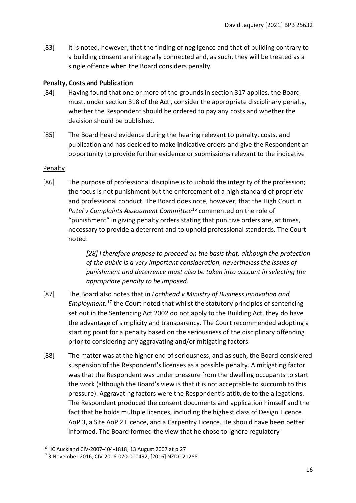[83] It is noted, however, that the finding of negligence and that of building contrary to a building consent are integrally connected and, as such, they will be treated as a single offence when the Board considers penalty.

## <span id="page-15-0"></span>**Penalty, Costs and Publication**

- [84] Having found that one or more of the grounds in section 317 applies, the Board must, under sect[i](#page-19-0)on 318 of the Act<sup>i</sup>, consider the appropriate disciplinary penalty, whether the Respondent should be ordered to pay any costs and whether the decision should be published.
- [85] The Board heard evidence during the hearing relevant to penalty, costs, and publication and has decided to make indicative orders and give the Respondent an opportunity to provide further evidence or submissions relevant to the indicative

## <span id="page-15-1"></span>Penalty

[86] The purpose of professional discipline is to uphold the integrity of the profession; the focus is not punishment but the enforcement of a high standard of propriety and professional conduct. The Board does note, however, that the High Court in *Patel v Complaints Assessment Committee*[16](#page-15-2) commented on the role of "punishment" in giving penalty orders stating that punitive orders are, at times, necessary to provide a deterrent and to uphold professional standards. The Court noted:

> *[28] I therefore propose to proceed on the basis that, although the protection of the public is a very important consideration, nevertheless the issues of punishment and deterrence must also be taken into account in selecting the appropriate penalty to be imposed.*

- [87] The Board also notes that in *Lochhead v Ministry of Business Innovation and Employment,* [17](#page-15-3) the Court noted that whilst the statutory principles of sentencing set out in the Sentencing Act 2002 do not apply to the Building Act, they do have the advantage of simplicity and transparency. The Court recommended adopting a starting point for a penalty based on the seriousness of the disciplinary offending prior to considering any aggravating and/or mitigating factors.
- [88] The matter was at the higher end of seriousness, and as such, the Board considered suspension of the Respondent's licenses as a possible penalty. A mitigating factor was that the Respondent was under pressure from the dwelling occupants to start the work (although the Board's view is that it is not acceptable to succumb to this pressure). Aggravating factors were the Respondent's attitude to the allegations. The Respondent produced the consent documents and application himself and the fact that he holds multiple licences, including the highest class of Design Licence AoP 3, a Site AoP 2 Licence, and a Carpentry Licence. He should have been better informed. The Board formed the view that he chose to ignore regulatory

<span id="page-15-2"></span><sup>16</sup> HC Auckland CIV-2007-404-1818, 13 August 2007 at p 27

<span id="page-15-3"></span><sup>17</sup> 3 November 2016, CIV-2016-070-000492, [2016] NZDC 21288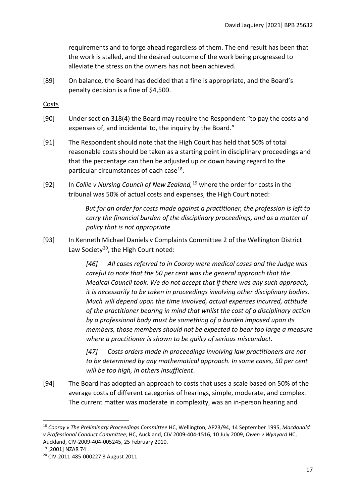requirements and to forge ahead regardless of them. The end result has been that the work is stalled, and the desired outcome of the work being progressed to alleviate the stress on the owners has not been achieved.

[89] On balance, the Board has decided that a fine is appropriate, and the Board's penalty decision is a fine of \$4,500.

<span id="page-16-0"></span>Costs

- [90] Under section 318(4) the Board may require the Respondent "to pay the costs and expenses of, and incidental to, the inquiry by the Board."
- [91] The Respondent should note that the High Court has held that 50% of total reasonable costs should be taken as a starting point in disciplinary proceedings and that the percentage can then be adjusted up or down having regard to the particular circumstances of each case<sup>[18](#page-16-1)</sup>.
- [92] In *Collie v Nursing Council of New Zealand,*[19](#page-16-2) where the order for costs in the tribunal was 50% of actual costs and expenses, the High Court noted:

*But for an order for costs made against a practitioner, the profession is left to carry the financial burden of the disciplinary proceedings, and as a matter of policy that is not appropriate*

[93] In Kenneth Michael Daniels v Complaints Committee 2 of the Wellington District Law Society<sup>[20](#page-16-3)</sup>, the High Court noted:

> *[46] All cases referred to in Cooray were medical cases and the Judge was careful to note that the 50 per cent was the general approach that the Medical Council took. We do not accept that if there was any such approach, it is necessarily to be taken in proceedings involving other disciplinary bodies. Much will depend upon the time involved, actual expenses incurred, attitude of the practitioner bearing in mind that whilst the cost of a disciplinary action by a professional body must be something of a burden imposed upon its members, those members should not be expected to bear too large a measure where a practitioner is shown to be guilty of serious misconduct.*

*[47] Costs orders made in proceedings involving law practitioners are not to be determined by any mathematical approach. In some cases, 50 per cent will be too high, in others insufficient*.

[94] The Board has adopted an approach to costs that uses a scale based on 50% of the average costs of different categories of hearings, simple, moderate, and complex. The current matter was moderate in complexity, was an in-person hearing and

<span id="page-16-2"></span>

<span id="page-16-1"></span><sup>18</sup> *Cooray v The Preliminary Proceedings Committee* HC, Wellington, AP23/94, 14 September 1995, *Macdonald v Professional Conduct Committee,* HC, Auckland, CIV 2009-404-1516, 10 July 2009, *Owen v Wynyard* HC, Auckland, CIV-2009-404-005245, 25 February 2010. 19 [2001] NZAR 74

<span id="page-16-3"></span><sup>20</sup> CIV-2011-485-000227 8 August 2011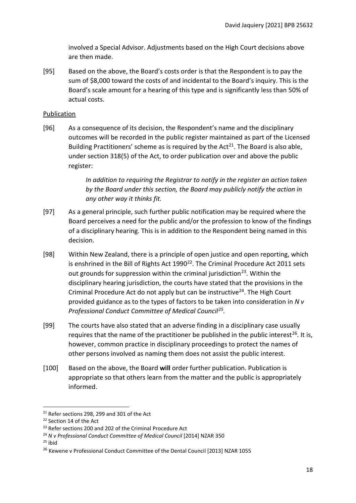involved a Special Advisor. Adjustments based on the High Court decisions above are then made.

[95] Based on the above, the Board's costs order is that the Respondent is to pay the sum of \$8,000 toward the costs of and incidental to the Board's inquiry. This is the Board's scale amount for a hearing of this type and is significantly less than 50% of actual costs.

## <span id="page-17-0"></span>**Publication**

[96] As a consequence of its decision, the Respondent's name and the disciplinary outcomes will be recorded in the public register maintained as part of the Licensed Building Practitioners' scheme as is required by the Act<sup>[21](#page-17-1)</sup>. The Board is also able, under section 318(5) of the Act, to order publication over and above the public register:

> *In addition to requiring the Registrar to notify in the register an action taken by the Board under this section, the Board may publicly notify the action in any other way it thinks fit.*

- [97] As a general principle, such further public notification may be required where the Board perceives a need for the public and/or the profession to know of the findings of a disciplinary hearing. This is in addition to the Respondent being named in this decision.
- [98] Within New Zealand, there is a principle of open justice and open reporting, which is enshrined in the Bill of Rights Act  $1990^{22}$ . The Criminal Procedure Act 2011 sets out grounds for suppression within the criminal jurisdiction<sup>23</sup>. Within the disciplinary hearing jurisdiction, the courts have stated that the provisions in the Criminal Procedure Act do not apply but can be instructive<sup>[24](#page-17-4)</sup>. The High Court provided guidance as to the types of factors to be taken into consideration in *N v Professional Conduct Committee of Medical Council[25.](#page-17-5)*
- [99] The courts have also stated that an adverse finding in a disciplinary case usually requires that the name of the practitioner be published in the public interest<sup>26</sup>. It is, however, common practice in disciplinary proceedings to protect the names of other persons involved as naming them does not assist the public interest.
- [100] Based on the above, the Board **will** order further publication. Publication is appropriate so that others learn from the matter and the public is appropriately informed.

<span id="page-17-1"></span><sup>&</sup>lt;sup>21</sup> Refer sections 298, 299 and 301 of the Act

<span id="page-17-2"></span><sup>22</sup> Section 14 of the Act

<span id="page-17-3"></span><sup>&</sup>lt;sup>23</sup> Refer sections 200 and 202 of the Criminal Procedure Act

<span id="page-17-4"></span><sup>24</sup> *N v Professional Conduct Committee of Medical Council* [2014] NZAR 350

<span id="page-17-5"></span> $25$  ibid

<span id="page-17-6"></span><sup>&</sup>lt;sup>26</sup> Kewene v Professional Conduct Committee of the Dental Council [2013] NZAR 1055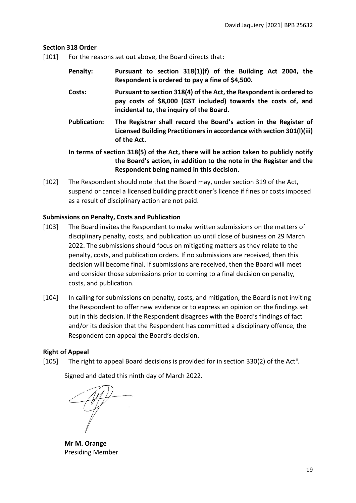## <span id="page-18-0"></span>**Section 318 Order**

- [101] For the reasons set out above, the Board directs that:
	- **Penalty: Pursuant to section 318(1)(f) of the Building Act 2004, the Respondent is ordered to pay a fine of \$4,500.**
	- **Costs: Pursuant to section 318(4) of the Act, the Respondent is ordered to pay costs of \$8,000 (GST included) towards the costs of, and incidental to, the inquiry of the Board.**
	- **Publication: The Registrar shall record the Board's action in the Register of Licensed Building Practitioners in accordance with section 301(l)(iii) of the Act.**
	- **In terms of section 318(5) of the Act, there will be action taken to publicly notify the Board's action, in addition to the note in the Register and the Respondent being named in this decision.**
- [102] The Respondent should note that the Board may, under section 319 of the Act, suspend or cancel a licensed building practitioner's licence if fines or costs imposed as a result of disciplinary action are not paid.

# <span id="page-18-1"></span>**Submissions on Penalty, Costs and Publication**

- [103] The Board invites the Respondent to make written submissions on the matters of disciplinary penalty, costs, and publication up until close of business on 29 March 2022. The submissions should focus on mitigating matters as they relate to the penalty, costs, and publication orders. If no submissions are received, then this decision will become final. If submissions are received, then the Board will meet and consider those submissions prior to coming to a final decision on penalty, costs, and publication.
- [104] In calling for submissions on penalty, costs, and mitigation, the Board is not inviting the Respondent to offer new evidence or to express an opinion on the findings set out in this decision. If the Respondent disagrees with the Board's findings of fact and/or its decision that the Respondent has committed a disciplinary offence, the Respondent can appeal the Board's decision.

# <span id="page-18-2"></span>**Right of Appeal**

[105] The right to appeal Board decisions is provided for in section 330(2) of the Act<sup>[ii](#page-19-1)</sup>.

Signed and dated this ninth day of March 2022.

**Mr M. Orange** Presiding Member